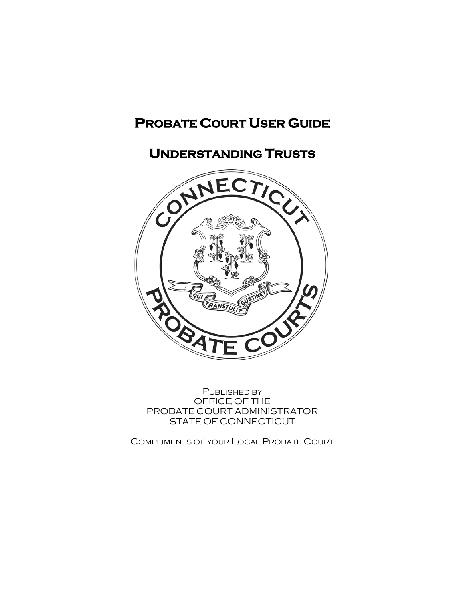# **PROBATE COURT USER GUIDE**

# **UNDERSTANDING TRUSTS**



PUBLISHED BY OFFICE OF THE PROBATE COURT ADMINISTRATOR STATE OF CONNECTICUT

COMPLIMENTS OF YOUR LOCAL PROBATE COURT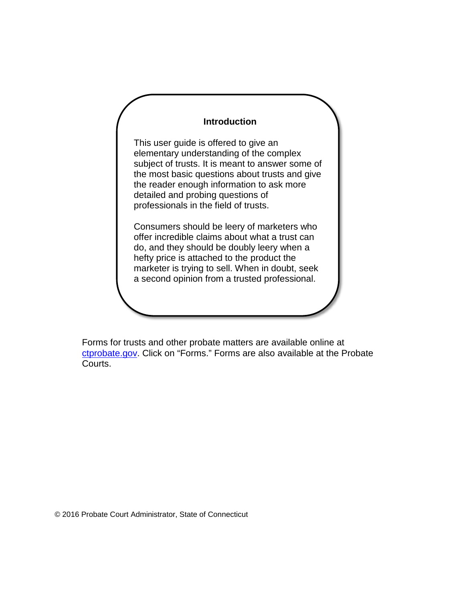#### **Introduction**

This user guide is offered to give an elementary understanding of the complex subject of trusts. It is meant to answer some of the most basic questions about trusts and give the reader enough information to ask more detailed and probing questions of professionals in the field of trusts.

Consumers should be leery of marketers who offer incredible claims about what a trust can do, and they should be doubly leery when a hefty price is attached to the product the marketer is trying to sell. When in doubt, seek a second opinion from a trusted professional.

Forms for trusts and other probate matters are available online at [ctprobate.gov.](http://www.ctprobate.gov/) Click on "Forms." Forms are also available at the Probate Courts.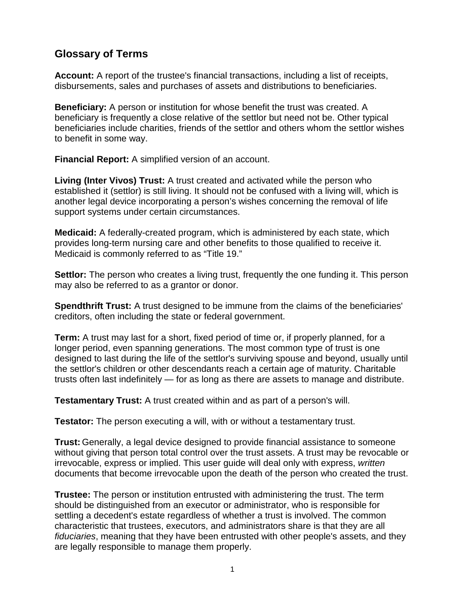### **Glossary of Terms**

**Account:** A report of the trustee's financial transactions, including a list of receipts, disbursements, sales and purchases of assets and distributions to beneficiaries.

**Beneficiary:** A person or institution for whose benefit the trust was created. A beneficiary is frequently a close relative of the settlor but need not be. Other typical beneficiaries include charities, friends of the settlor and others whom the settlor wishes to benefit in some way.

**Financial Report:** A simplified version of an account.

**Living (Inter Vivos) Trust:** A trust created and activated while the person who established it (settlor) is still living. It should not be confused with a living will, which is another legal device incorporating a person's wishes concerning the removal of life support systems under certain circumstances.

**Medicaid:** A federally-created program, which is administered by each state, which provides long-term nursing care and other benefits to those qualified to receive it. Medicaid is commonly referred to as "Title 19."

**Settlor:** The person who creates a living trust, frequently the one funding it. This person may also be referred to as a grantor or donor.

**Spendthrift Trust:** A trust designed to be immune from the claims of the beneficiaries' creditors, often including the state or federal government.

**Term:** A trust may last for a short, fixed period of time or, if properly planned, for a longer period, even spanning generations. The most common type of trust is one designed to last during the life of the settlor's surviving spouse and beyond, usually until the settlor's children or other descendants reach a certain age of maturity. Charitable trusts often last indefinitely — for as long as there are assets to manage and distribute.

**Testamentary Trust:** A trust created within and as part of a person's will.

**Testator:** The person executing a will, with or without a testamentary trust.

**Trust:** Generally, a legal device designed to provide financial assistance to someone without giving that person total control over the trust assets. A trust may be revocable or irrevocable, express or implied. This user guide will deal only with express, *written* documents that become irrevocable upon the death of the person who created the trust.

**Trustee:** The person or institution entrusted with administering the trust. The term should be distinguished from an executor or administrator, who is responsible for settling a decedent's estate regardless of whether a trust is involved. The common characteristic that trustees, executors, and administrators share is that they are all *fiduciaries*, meaning that they have been entrusted with other people's assets, and they are legally responsible to manage them properly.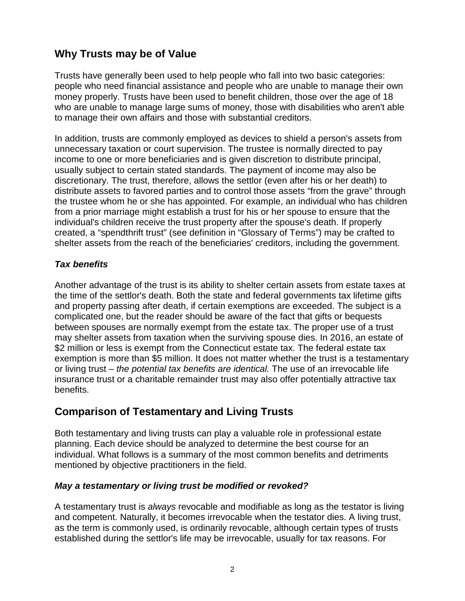## **Why Trusts may be of Value**

Trusts have generally been used to help people who fall into two basic categories: people who need financial assistance and people who are unable to manage their own money properly. Trusts have been used to benefit children, those over the age of 18 who are unable to manage large sums of money, those with disabilities who aren't able to manage their own affairs and those with substantial creditors.

In addition, trusts are commonly employed as devices to shield a person's assets from unnecessary taxation or court supervision. The trustee is normally directed to pay income to one or more beneficiaries and is given discretion to distribute principal, usually subject to certain stated standards. The payment of income may also be discretionary. The trust, therefore, allows the settlor (even after his or her death) to distribute assets to favored parties and to control those assets "from the grave" through the trustee whom he or she has appointed. For example, an individual who has children from a prior marriage might establish a trust for his or her spouse to ensure that the individual's children receive the trust property after the spouse's death. If properly created, a "spendthrift trust" (see definition in "Glossary of Terms") may be crafted to shelter assets from the reach of the beneficiaries' creditors, including the government.

#### *Tax benefits*

Another advantage of the trust is its ability to shelter certain assets from estate taxes at the time of the settlor's death. Both the state and federal governments tax lifetime gifts and property passing after death, if certain exemptions are exceeded. The subject is a complicated one, but the reader should be aware of the fact that gifts or bequests between spouses are normally exempt from the estate tax. The proper use of a trust may shelter assets from taxation when the surviving spouse dies. In 2016, an estate of \$2 million or less is exempt from the Connecticut estate tax. The federal estate tax exemption is more than \$5 million. It does not matter whether the trust is a testamentary or living trust – *the potential tax benefits are identical.* The use of an irrevocable life insurance trust or a charitable remainder trust may also offer potentially attractive tax benefits.

### **Comparison of Testamentary and Living Trusts**

Both testamentary and living trusts can play a valuable role in professional estate planning. Each device should be analyzed to determine the best course for an individual. What follows is a summary of the most common benefits and detriments mentioned by objective practitioners in the field.

#### *May a testamentary or living trust be modified or revoked?*

A testamentary trust is *always* revocable and modifiable as long as the testator is living and competent. Naturally, it becomes irrevocable when the testator dies. A living trust, as the term is commonly used, is ordinarily revocable, although certain types of trusts established during the settlor's life may be irrevocable, usually for tax reasons. For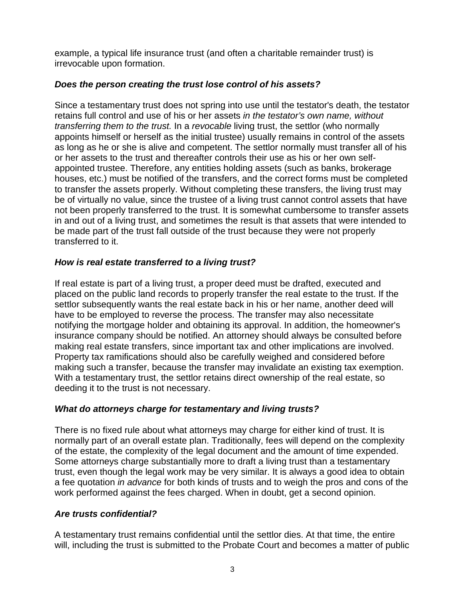example, a typical life insurance trust (and often a charitable remainder trust) is irrevocable upon formation.

#### *Does the person creating the trust lose control of his assets?*

Since a testamentary trust does not spring into use until the testator's death, the testator retains full control and use of his or her assets *in the testator's own name, without transferring them to the trust.* In a *revocable* living trust, the settlor (who normally appoints himself or herself as the initial trustee) usually remains in control of the assets as long as he or she is alive and competent. The settlor normally must transfer all of his or her assets to the trust and thereafter controls their use as his or her own selfappointed trustee. Therefore, any entities holding assets (such as banks, brokerage houses, etc.) must be notified of the transfers, and the correct forms must be completed to transfer the assets properly. Without completing these transfers, the living trust may be of virtually no value, since the trustee of a living trust cannot control assets that have not been properly transferred to the trust. It is somewhat cumbersome to transfer assets in and out of a living trust, and sometimes the result is that assets that were intended to be made part of the trust fall outside of the trust because they were not properly transferred to it.

#### *How is real estate transferred to a living trust?*

If real estate is part of a living trust, a proper deed must be drafted, executed and placed on the public land records to properly transfer the real estate to the trust. If the settlor subsequently wants the real estate back in his or her name, another deed will have to be employed to reverse the process. The transfer may also necessitate notifying the mortgage holder and obtaining its approval. In addition, the homeowner's insurance company should be notified. An attorney should always be consulted before making real estate transfers, since important tax and other implications are involved. Property tax ramifications should also be carefully weighed and considered before making such a transfer, because the transfer may invalidate an existing tax exemption. With a testamentary trust, the settlor retains direct ownership of the real estate, so deeding it to the trust is not necessary.

#### *What do attorneys charge for testamentary and living trusts?*

There is no fixed rule about what attorneys may charge for either kind of trust. It is normally part of an overall estate plan. Traditionally, fees will depend on the complexity of the estate, the complexity of the legal document and the amount of time expended. Some attorneys charge substantially more to draft a living trust than a testamentary trust, even though the legal work may be very similar. It is always a good idea to obtain a fee quotation *in advance* for both kinds of trusts and to weigh the pros and cons of the work performed against the fees charged. When in doubt, get a second opinion.

#### *Are trusts confidential?*

A testamentary trust remains confidential until the settlor dies. At that time, the entire will, including the trust is submitted to the Probate Court and becomes a matter of public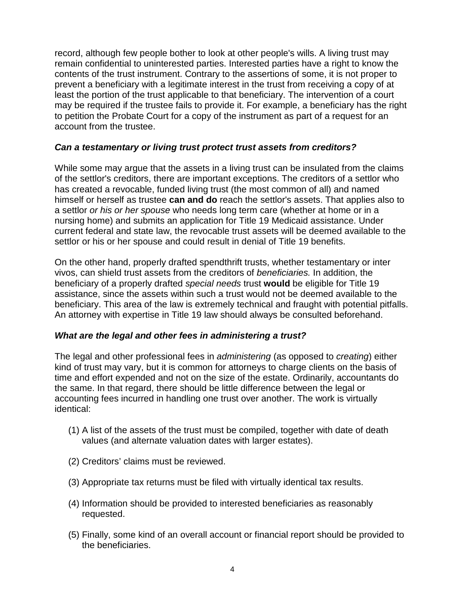record, although few people bother to look at other people's wills. A living trust may remain confidential to uninterested parties. Interested parties have a right to know the contents of the trust instrument. Contrary to the assertions of some, it is not proper to prevent a beneficiary with a legitimate interest in the trust from receiving a copy of at least the portion of the trust applicable to that beneficiary. The intervention of a court may be required if the trustee fails to provide it. For example, a beneficiary has the right to petition the Probate Court for a copy of the instrument as part of a request for an account from the trustee.

#### *Can a testamentary or living trust protect trust assets from creditors?*

While some may argue that the assets in a living trust can be insulated from the claims of the settlor's creditors, there are important exceptions. The creditors of a settlor who has created a revocable, funded living trust (the most common of all) and named himself or herself as trustee **can and do** reach the settlor's assets. That applies also to a settlor *or his or her spouse* who needs long term care (whether at home or in a nursing home) and submits an application for Title 19 Medicaid assistance. Under current federal and state law, the revocable trust assets will be deemed available to the settlor or his or her spouse and could result in denial of Title 19 benefits.

On the other hand, properly drafted spendthrift trusts, whether testamentary or inter vivos, can shield trust assets from the creditors of *beneficiaries.* In addition, the beneficiary of a properly drafted *special needs* trust **would** be eligible for Title 19 assistance, since the assets within such a trust would not be deemed available to the beneficiary. This area of the law is extremely technical and fraught with potential pitfalls. An attorney with expertise in Title 19 law should always be consulted beforehand.

#### *What are the legal and other fees in administering a trust?*

The legal and other professional fees in *administering* (as opposed to *creating*) either kind of trust may vary, but it is common for attorneys to charge clients on the basis of time and effort expended and not on the size of the estate. Ordinarily, accountants do the same. In that regard, there should be little difference between the legal or accounting fees incurred in handling one trust over another. The work is virtually identical:

- (1) A list of the assets of the trust must be compiled, together with date of death values (and alternate valuation dates with larger estates).
- (2) Creditors' claims must be reviewed.
- (3) Appropriate tax returns must be filed with virtually identical tax results.
- (4) Information should be provided to interested beneficiaries as reasonably requested.
- (5) Finally, some kind of an overall account or financial report should be provided to the beneficiaries.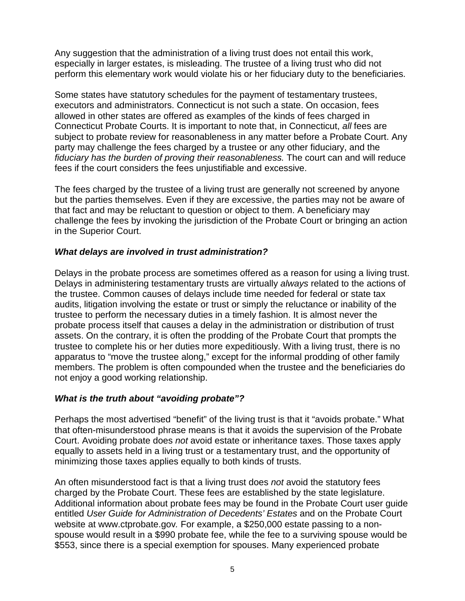Any suggestion that the administration of a living trust does not entail this work, especially in larger estates, is misleading. The trustee of a living trust who did not perform this elementary work would violate his or her fiduciary duty to the beneficiaries.

Some states have statutory schedules for the payment of testamentary trustees, executors and administrators. Connecticut is not such a state. On occasion, fees allowed in other states are offered as examples of the kinds of fees charged in Connecticut Probate Courts. It is important to note that, in Connecticut, *all* fees are subject to probate review for reasonableness in any matter before a Probate Court. Any party may challenge the fees charged by a trustee or any other fiduciary, and the *fiduciary has the burden of proving their reasonableness.* The court can and will reduce fees if the court considers the fees unjustifiable and excessive.

The fees charged by the trustee of a living trust are generally not screened by anyone but the parties themselves. Even if they are excessive, the parties may not be aware of that fact and may be reluctant to question or object to them. A beneficiary may challenge the fees by invoking the jurisdiction of the Probate Court or bringing an action in the Superior Court.

#### *What delays are involved in trust administration?*

Delays in the probate process are sometimes offered as a reason for using a living trust. Delays in administering testamentary trusts are virtually *always* related to the actions of the trustee. Common causes of delays include time needed for federal or state tax audits, litigation involving the estate or trust or simply the reluctance or inability of the trustee to perform the necessary duties in a timely fashion. It is almost never the probate process itself that causes a delay in the administration or distribution of trust assets. On the contrary, it is often the prodding of the Probate Court that prompts the trustee to complete his or her duties more expeditiously. With a living trust, there is no apparatus to "move the trustee along," except for the informal prodding of other family members. The problem is often compounded when the trustee and the beneficiaries do not enjoy a good working relationship.

#### *What is the truth about "avoiding probate"?*

Perhaps the most advertised "benefit" of the living trust is that it "avoids probate." What that often-misunderstood phrase means is that it avoids the supervision of the Probate Court. Avoiding probate does *not* avoid estate or inheritance taxes. Those taxes apply equally to assets held in a living trust or a testamentary trust, and the opportunity of minimizing those taxes applies equally to both kinds of trusts.

An often misunderstood fact is that a living trust does *not* avoid the statutory fees charged by the Probate Court. These fees are established by the state legislature. Additional information about probate fees may be found in the Probate Court user guide entitled *User Guide for Administration of Decedents' Estates* and on the Probate Court website at www.ctprobate.gov*.* For example, a \$250,000 estate passing to a nonspouse would result in a \$990 probate fee, while the fee to a surviving spouse would be \$553, since there is a special exemption for spouses. Many experienced probate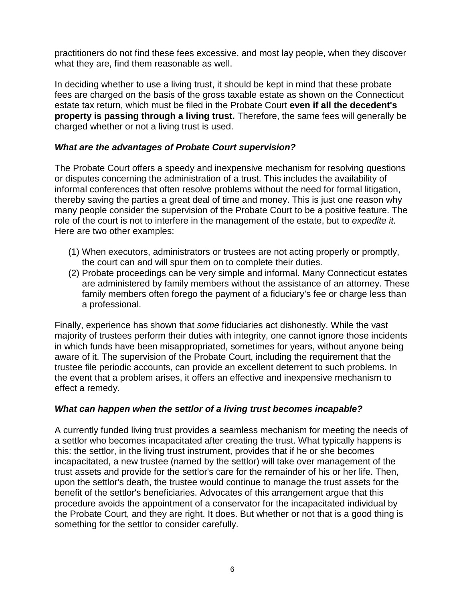practitioners do not find these fees excessive, and most lay people, when they discover what they are, find them reasonable as well.

In deciding whether to use a living trust, it should be kept in mind that these probate fees are charged on the basis of the gross taxable estate as shown on the Connecticut estate tax return, which must be filed in the Probate Court **even if all the decedent's property is passing through a living trust.** Therefore, the same fees will generally be charged whether or not a living trust is used.

#### *What are the advantages of Probate Court supervision?*

The Probate Court offers a speedy and inexpensive mechanism for resolving questions or disputes concerning the administration of a trust. This includes the availability of informal conferences that often resolve problems without the need for formal litigation, thereby saving the parties a great deal of time and money. This is just one reason why many people consider the supervision of the Probate Court to be a positive feature. The role of the court is not to interfere in the management of the estate, but to *expedite it.* Here are two other examples:

- (1) When executors, administrators or trustees are not acting properly or promptly, the court can and will spur them on to complete their duties.
- (2) Probate proceedings can be very simple and informal. Many Connecticut estates are administered by family members without the assistance of an attorney. These family members often forego the payment of a fiduciary's fee or charge less than a professional.

Finally, experience has shown that *some* fiduciaries act dishonestly. While the vast majority of trustees perform their duties with integrity, one cannot ignore those incidents in which funds have been misappropriated, sometimes for years, without anyone being aware of it. The supervision of the Probate Court, including the requirement that the trustee file periodic accounts, can provide an excellent deterrent to such problems. In the event that a problem arises, it offers an effective and inexpensive mechanism to effect a remedy.

#### *What can happen when the settlor of a living trust becomes incapable?*

A currently funded living trust provides a seamless mechanism for meeting the needs of a settlor who becomes incapacitated after creating the trust. What typically happens is this: the settlor, in the living trust instrument, provides that if he or she becomes incapacitated, a new trustee (named by the settlor) will take over management of the trust assets and provide for the settlor's care for the remainder of his or her life. Then, upon the settlor's death, the trustee would continue to manage the trust assets for the benefit of the settlor's beneficiaries. Advocates of this arrangement argue that this procedure avoids the appointment of a conservator for the incapacitated individual by the Probate Court, and they are right. It does. But whether or not that is a good thing is something for the settlor to consider carefully.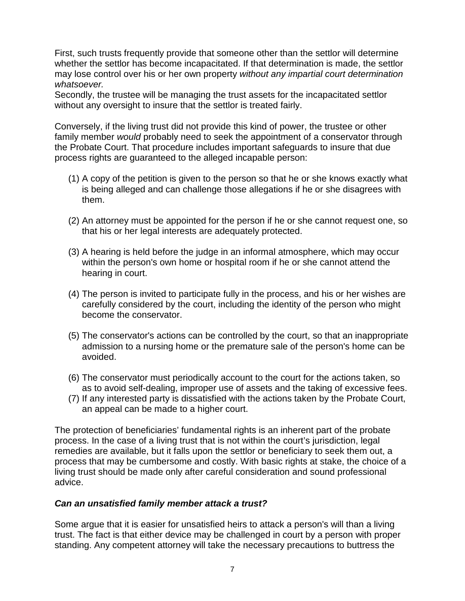First, such trusts frequently provide that someone other than the settlor will determine whether the settlor has become incapacitated. If that determination is made, the settlor may lose control over his or her own property *without any impartial court determination whatsoever.* 

Secondly, the trustee will be managing the trust assets for the incapacitated settlor without any oversight to insure that the settlor is treated fairly.

Conversely, if the living trust did not provide this kind of power, the trustee or other family member *would* probably need to seek the appointment of a conservator through the Probate Court. That procedure includes important safeguards to insure that due process rights are guaranteed to the alleged incapable person:

- (1) A copy of the petition is given to the person so that he or she knows exactly what is being alleged and can challenge those allegations if he or she disagrees with them.
- (2) An attorney must be appointed for the person if he or she cannot request one, so that his or her legal interests are adequately protected.
- (3) A hearing is held before the judge in an informal atmosphere, which may occur within the person's own home or hospital room if he or she cannot attend the hearing in court.
- (4) The person is invited to participate fully in the process, and his or her wishes are carefully considered by the court, including the identity of the person who might become the conservator.
- (5) The conservator's actions can be controlled by the court, so that an inappropriate admission to a nursing home or the premature sale of the person's home can be avoided.
- (6) The conservator must periodically account to the court for the actions taken, so as to avoid self-dealing, improper use of assets and the taking of excessive fees.
- (7) If any interested party is dissatisfied with the actions taken by the Probate Court, an appeal can be made to a higher court.

The protection of beneficiaries' fundamental rights is an inherent part of the probate process. In the case of a living trust that is not within the court's jurisdiction, legal remedies are available, but it falls upon the settlor or beneficiary to seek them out, a process that may be cumbersome and costly. With basic rights at stake, the choice of a living trust should be made only after careful consideration and sound professional advice.

#### *Can an unsatisfied family member attack a trust?*

Some argue that it is easier for unsatisfied heirs to attack a person's will than a living trust. The fact is that either device may be challenged in court by a person with proper standing. Any competent attorney will take the necessary precautions to buttress the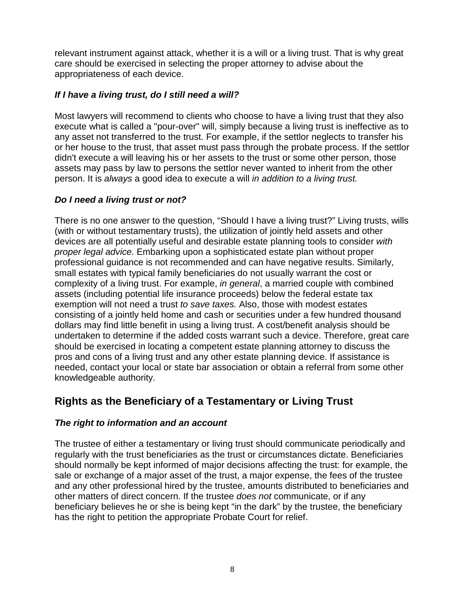relevant instrument against attack, whether it is a will or a living trust. That is why great care should be exercised in selecting the proper attorney to advise about the appropriateness of each device.

#### *If I have a living trust, do I still need a will?*

Most lawyers will recommend to clients who choose to have a living trust that they also execute what is called a "pour-over" will, simply because a living trust is ineffective as to any asset not transferred to the trust. For example, if the settlor neglects to transfer his or her house to the trust, that asset must pass through the probate process. If the settlor didn't execute a will leaving his or her assets to the trust or some other person, those assets may pass by law to persons the settlor never wanted to inherit from the other person. It is *always* a good idea to execute a will *in addition to a living trust.*

#### *Do I need a living trust or not?*

There is no one answer to the question, "Should I have a living trust?" Living trusts, wills (with or without testamentary trusts), the utilization of jointly held assets and other devices are all potentially useful and desirable estate planning tools to consider *with proper legal advice.* Embarking upon a sophisticated estate plan without proper professional guidance is not recommended and can have negative results. Similarly, small estates with typical family beneficiaries do not usually warrant the cost or complexity of a living trust. For example, *in general*, a married couple with combined assets (including potential life insurance proceeds) below the federal estate tax exemption will not need a trust *to save taxes.* Also, those with modest estates consisting of a jointly held home and cash or securities under a few hundred thousand dollars may find little benefit in using a living trust. A cost/benefit analysis should be undertaken to determine if the added costs warrant such a device. Therefore, great care should be exercised in locating a competent estate planning attorney to discuss the pros and cons of a living trust and any other estate planning device. If assistance is needed, contact your local or state bar association or obtain a referral from some other knowledgeable authority.

### **Rights as the Beneficiary of a Testamentary or Living Trust**

#### *The right to information and an account*

The trustee of either a testamentary or living trust should communicate periodically and regularly with the trust beneficiaries as the trust or circumstances dictate. Beneficiaries should normally be kept informed of major decisions affecting the trust: for example, the sale or exchange of a major asset of the trust, a major expense, the fees of the trustee and any other professional hired by the trustee, amounts distributed to beneficiaries and other matters of direct concern. If the trustee *does not* communicate, or if any beneficiary believes he or she is being kept "in the dark" by the trustee, the beneficiary has the right to petition the appropriate Probate Court for relief.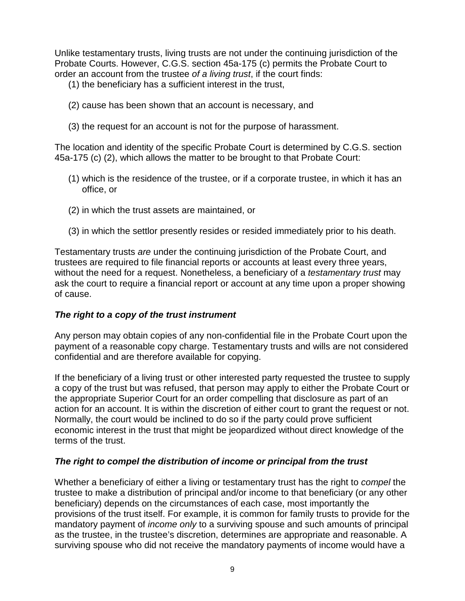Unlike testamentary trusts, living trusts are not under the continuing jurisdiction of the Probate Courts. However, C.G.S. section 45a-175 (c) permits the Probate Court to order an account from the trustee *of a living trust*, if the court finds:

- (1) the beneficiary has a sufficient interest in the trust,
- (2) cause has been shown that an account is necessary, and
- (3) the request for an account is not for the purpose of harassment.

The location and identity of the specific Probate Court is determined by C.G.S. section 45a-175 (c) (2), which allows the matter to be brought to that Probate Court:

- (1) which is the residence of the trustee, or if a corporate trustee, in which it has an office, or
- (2) in which the trust assets are maintained, or
- (3) in which the settlor presently resides or resided immediately prior to his death.

Testamentary trusts *are* under the continuing jurisdiction of the Probate Court, and trustees are required to file financial reports or accounts at least every three years, without the need for a request. Nonetheless, a beneficiary of a *testamentary trust* may ask the court to require a financial report or account at any time upon a proper showing of cause.

#### *The right to a copy of the trust instrument*

Any person may obtain copies of any non-confidential file in the Probate Court upon the payment of a reasonable copy charge. Testamentary trusts and wills are not considered confidential and are therefore available for copying.

If the beneficiary of a living trust or other interested party requested the trustee to supply a copy of the trust but was refused, that person may apply to either the Probate Court or the appropriate Superior Court for an order compelling that disclosure as part of an action for an account. It is within the discretion of either court to grant the request or not. Normally, the court would be inclined to do so if the party could prove sufficient economic interest in the trust that might be jeopardized without direct knowledge of the terms of the trust.

#### *The right to compel the distribution of income or principal from the trust*

Whether a beneficiary of either a living or testamentary trust has the right to *compel* the trustee to make a distribution of principal and/or income to that beneficiary (or any other beneficiary) depends on the circumstances of each case, most importantly the provisions of the trust itself. For example, it is common for family trusts to provide for the mandatory payment of *income only* to a surviving spouse and such amounts of principal as the trustee, in the trustee's discretion, determines are appropriate and reasonable. A surviving spouse who did not receive the mandatory payments of income would have a